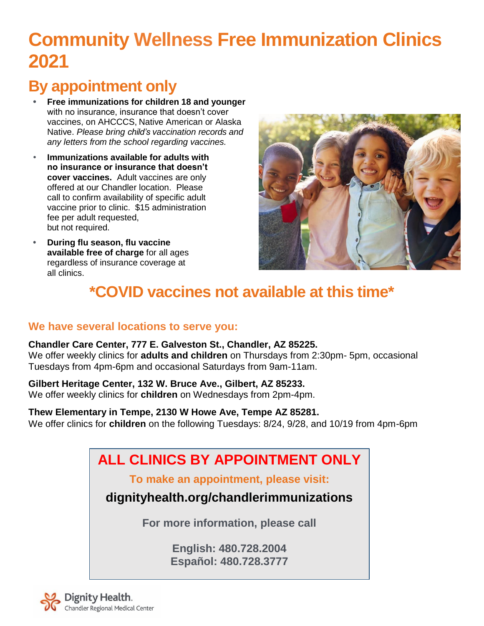# **Community Wellness Free Immunization Clinics 2021**

# **By appointment only**

- **• Free immunizations for children 18 and younger** with no insurance, insurance that doesn't cover vaccines, on AHCCCS, Native American or Alaska Native. *Please bring child's vaccination records and any letters from the school regarding vaccines.*
- **Immunizations available for adults with no insurance or insurance that doesn't cover vaccines.** Adult vaccines are only offered at our Chandler location. Please call to confirm availability of specific adult vaccine prior to clinic. \$15 administration fee per adult requested, but not required.
- **• During flu season, flu vaccine available free of charge** for all ages regardless of insurance coverage at all clinics.



# **\*COVID vaccines not available at this time\***

### **We have several locations to serve you:**

**Chandler Care Center, 777 E. Galveston St., Chandler, AZ 85225.** We offer weekly clinics for **adults and children** on Thursdays from 2:30pm- 5pm, occasional Tuesdays from 4pm-6pm and occasional Saturdays from 9am-11am.

### **Gilbert Heritage Center, 132 W. Bruce Ave., Gilbert, AZ 85233.**

We offer weekly clinics for **children** on Wednesdays from 2pm-4pm.

**Thew Elementary in Tempe, 2130 W Howe Ave, Tempe AZ 85281.** We offer clinics for **children** on the following Tuesdays: 8/24, 9/28, and 10/19 from 4pm-6pm

# **ALL CLINICS BY APPOINTMENT ONLY**

**To make an appointment, please visit:**

**dignityhealth.org/chandlerimmunizations**

**For more information, please call**

**English: 480.728.2004 Español: 480.728.3777**